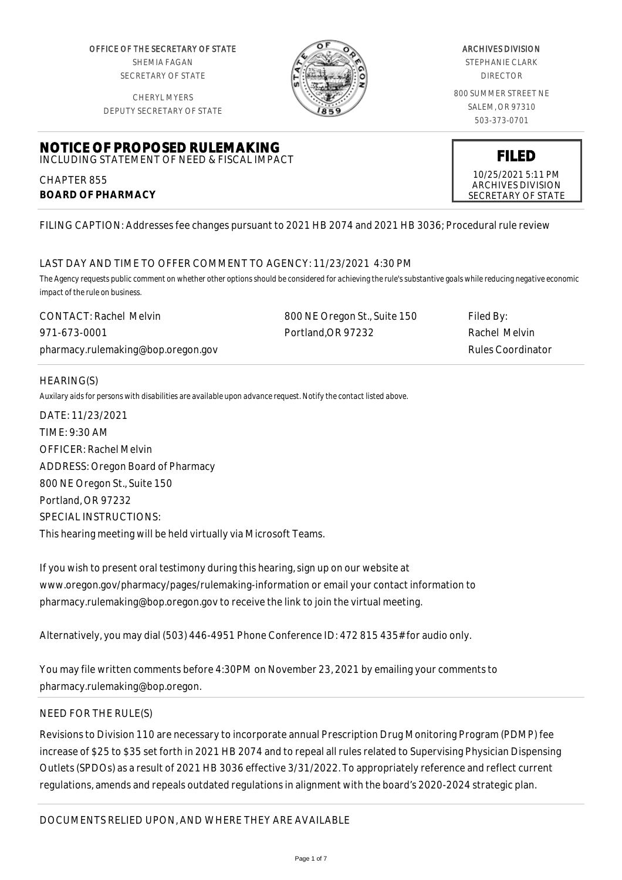OFFICE OF THE SECRETARY OF STATE SHEMIA FAGAN SECRETARY OF STATE

CHERYL MYERS



#### ARCHIVES DIVISION

STEPHANIE CLARK DIRECTOR

800 SUMMER STREET NE SALEM, OR 97310 503-373-0701

> **FILED** 10/25/2021 5:11 PM ARCHIVES DIVISION SECRETARY OF STATE

DEPUTY SECRETARY OF STATE

#### **NOTICE OF PROPOSED RULEMAKING** INCLUDING STATEMENT OF NEED & FISCAL IMPACT

CHAPTER 855 **BOARD OF PHARMACY**

FILING CAPTION: Addresses fee changes pursuant to 2021 HB 2074 and 2021 HB 3036; Procedural rule review

# LAST DAY AND TIME TO OFFER COMMENT TO AGENCY: 11/23/2021 4:30 PM

*The Agency requests public comment on whether other options should be considered for achieving the rule's substantive goals while reducing negative economic impact of the rule on business.*

| <b>CONTACT: Rachel Melvin</b>      | 800 NE Oregon St., Suite 150 | Filed By:         |
|------------------------------------|------------------------------|-------------------|
| 971-673-0001                       | Portland.OR 97232            | Rachel Melvin     |
| pharmacy.rulemaking@bop.oregon.gov |                              | Rules Coordinator |

## HEARING(S)

*Auxilary aids for persons with disabilities are available upon advance request. Notify the contact listed above.*

DATE: 11/23/2021 TIME: 9:30 AM OFFICER: Rachel Melvin ADDRESS: Oregon Board of Pharmacy 800 NE Oregon St., Suite 150 Portland, OR 97232 SPECIAL INSTRUCTIONS: This hearing meeting will be held virtually via Microsoft Teams.

If you wish to present oral testimony during this hearing, sign up on our website at www.oregon.gov/pharmacy/pages/rulemaking-information or email your contact information to pharmacy.rulemaking@bop.oregon.gov to receive the link to join the virtual meeting.

Alternatively, you may dial (503) 446-4951 Phone Conference ID: 472 815 435# for audio only.

You may file written comments before 4:30PM on November 23, 2021 by emailing your comments to pharmacy.rulemaking@bop.oregon.

## NEED FOR THE RULE(S)

Revisions to Division 110 are necessary to incorporate annual Prescription Drug Monitoring Program (PDMP) fee increase of \$25 to \$35 set forth in 2021 HB 2074 and to repeal all rules related to Supervising Physician Dispensing Outlets (SPDOs) as a result of 2021 HB 3036 effective 3/31/2022. To appropriately reference and reflect current regulations, amends and repeals outdated regulations in alignment with the board's 2020-2024 strategic plan.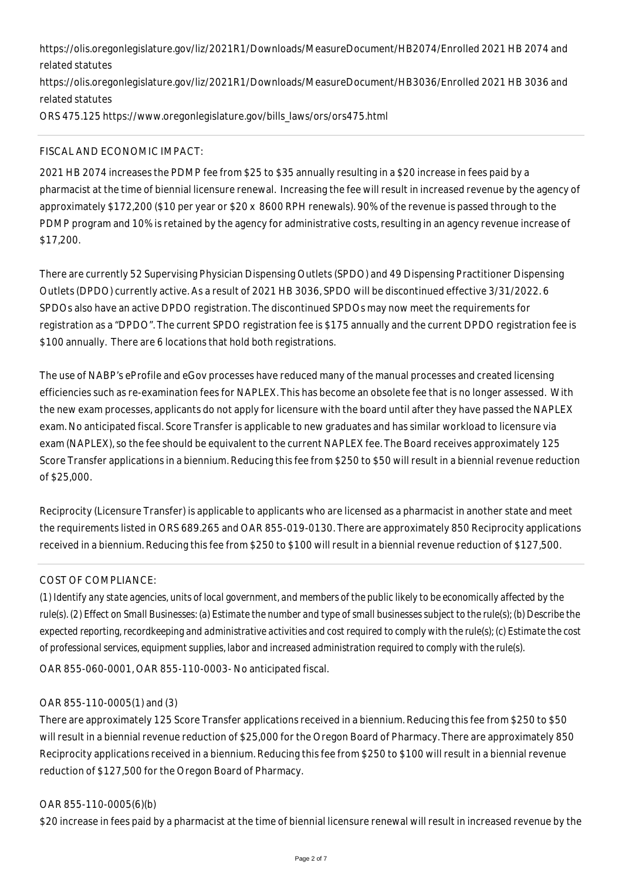https://olis.oregonlegislature.gov/liz/2021R1/Downloads/MeasureDocument/HB2074/Enrolled 2021 HB 2074 and related statutes

https://olis.oregonlegislature.gov/liz/2021R1/Downloads/MeasureDocument/HB3036/Enrolled 2021 HB 3036 and related statutes

ORS 475.125 https://www.oregonlegislature.gov/bills\_laws/ors/ors475.html

## FISCAL AND ECONOMIC IMPACT:

2021 HB 2074 increases the PDMP fee from \$25 to \$35 annually resulting in a \$20 increase in fees paid by a pharmacist at the time of biennial licensure renewal. Increasing the fee will result in increased revenue by the agency of approximately \$172,200 (\$10 per year or \$20 x 8600 RPH renewals). 90% of the revenue is passed through to the PDMP program and 10% is retained by the agency for administrative costs, resulting in an agency revenue increase of \$17,200.

There are currently 52 Supervising Physician Dispensing Outlets (SPDO) and 49 Dispensing Practitioner Dispensing Outlets (DPDO) currently active. As a result of 2021 HB 3036, SPDO will be discontinued effective 3/31/2022. 6 SPDOs also have an active DPDO registration. The discontinued SPDOs may now meet the requirements for registration as a "DPDO". The current SPDO registration fee is \$175 annually and the current DPDO registration fee is \$100 annually. There are 6 locations that hold both registrations.

The use of NABP's eProfile and eGov processes have reduced many of the manual processes and created licensing efficiencies such as re-examination fees for NAPLEX. This has become an obsolete fee that is no longer assessed. With the new exam processes, applicants do not apply for licensure with the board until after they have passed the NAPLEX exam. No anticipated fiscal. Score Transfer is applicable to new graduates and has similar workload to licensure via exam (NAPLEX), so the fee should be equivalent to the current NAPLEX fee. The Board receives approximately 125 Score Transfer applications in a biennium. Reducing this fee from \$250 to \$50 will result in a biennial revenue reduction of \$25,000.

Reciprocity (Licensure Transfer) is applicable to applicants who are licensed as a pharmacist in another state and meet the requirements listed in ORS 689.265 and OAR 855-019-0130. There are approximately 850 Reciprocity applications received in a biennium. Reducing this fee from \$250 to \$100 will result in a biennial revenue reduction of \$127,500.

# COST OF COMPLIANCE:

*(1) Identify any state agencies, units of local government, and members of the public likely to be economically affected by the rule(s). (2) Effect on Small Businesses: (a) Estimate the number and type of small businesses subject to the rule(s); (b) Describe the expected reporting, recordkeeping and administrative activities and cost required to comply with the rule(s); (c) Estimate the cost of professional services, equipment supplies, labor and increased administration required to comply with the rule(s).* OAR 855-060-0001, OAR 855-110-0003- No anticipated fiscal.

## OAR 855-110-0005(1) and (3)

There are approximately 125 Score Transfer applications received in a biennium. Reducing this fee from \$250 to \$50 will result in a biennial revenue reduction of \$25,000 for the Oregon Board of Pharmacy. There are approximately 850 Reciprocity applications received in a biennium. Reducing this fee from \$250 to \$100 will result in a biennial revenue reduction of \$127,500 for the Oregon Board of Pharmacy.

## OAR 855-110-0005(6)(b)

\$20 increase in fees paid by a pharmacist at the time of biennial licensure renewal will result in increased revenue by the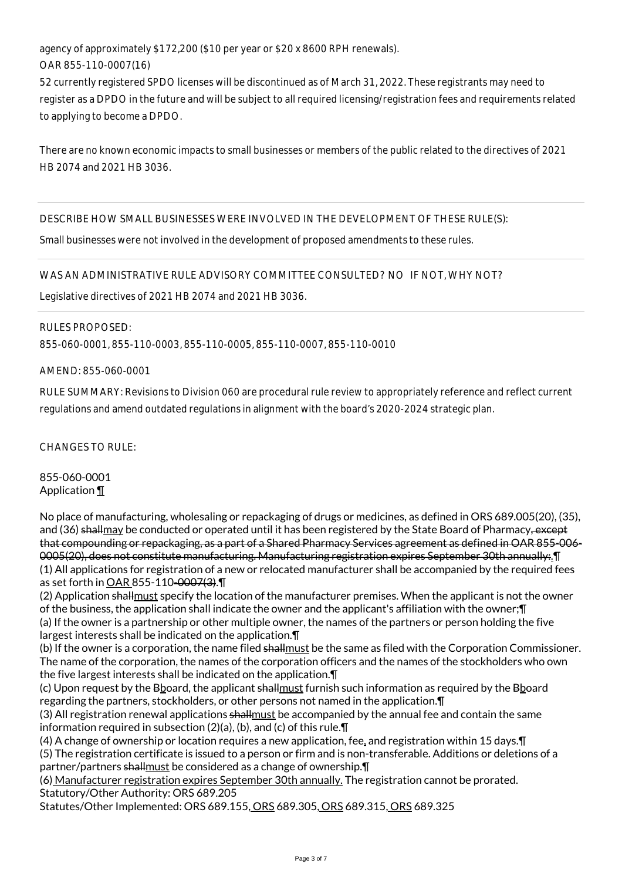agency of approximately \$172,200 (\$10 per year or \$20 x 8600 RPH renewals). OAR 855-110-0007(16)

52 currently registered SPDO licenses will be discontinued as of March 31, 2022. These registrants may need to register as a DPDO in the future and will be subject to all required licensing/registration fees and requirements related to applying to become a DPDO.

There are no known economic impacts to small businesses or members of the public related to the directives of 2021 HB 2074 and 2021 HB 3036.

DESCRIBE HOW SMALL BUSINESSES WERE INVOLVED IN THE DEVELOPMENT OF THESE RULE(S):

Small businesses were not involved in the development of proposed amendments to these rules.

WAS AN ADMINISTRATIVE RULE ADVISORY COMMITTEE CONSULTED? NO IF NOT, WHY NOT?

Legislative directives of 2021 HB 2074 and 2021 HB 3036.

RULES PROPOSED:

855-060-0001, 855-110-0003, 855-110-0005, 855-110-0007, 855-110-0010

AMEND: 855-060-0001

RULE SUMMARY: Revisions to Division 060 are procedural rule review to appropriately reference and reflect current regulations and amend outdated regulations in alignment with the board's 2020-2024 strategic plan.

CHANGES TO RULE:

855-060-0001 Application ¶

No place of manufacturing, wholesaling or repackaging of drugs or medicines, as defined in ORS 689.005(20), (35), and (36) shallmay be conducted or operated until it has been registered by the State Board of Pharmacy, except that compounding or repackaging, as a part of a Shared Pharmacy Services agreement as defined in OAR 855-006- 0005(20), does not constitute manufacturing. Manufacturing registration expires September 30th annually:.¶ (1) All applications for registration of a new or relocated manufacturer shall be accompanied by the required fees as set forth in OAR 855-110-0007(3).¶

(2) Application shallmust specify the location of the manufacturer premises. When the applicant is not the owner of the business, the application shall indicate the owner and the applicant's affiliation with the owner;¶ (a) If the owner is a partnership or other multiple owner, the names of the partners or person holding the five largest interests shall be indicated on the application.¶

(b) If the owner is a corporation, the name filed shallmust be the same as filed with the Corporation Commissioner. The name of the corporation, the names of the corporation officers and the names of the stockholders who own the five largest interests shall be indicated on the application.¶

(c) Upon request by the Bboard, the applicant shallmust furnish such information as required by the Bboard regarding the partners, stockholders, or other persons not named in the application.¶

(3) All registration renewal applications shallmust be accompanied by the annual fee and contain the same information required in subsection (2)(a), (b), and (c) of this rule.¶

(4) A change of ownership or location requires a new application, fee, and registration within 15 days.¶

(5) The registration certificate is issued to a person or firm and is non-transferable. Additions or deletions of a partner/partners shallmust be considered as a change of ownership.¶

(6) Manufacturer registration expires September 30th annually. The registration cannot be prorated. Statutory/Other Authority: ORS 689.205

Statutes/Other Implemented: ORS 689.155, ORS 689.305, ORS 689.315, ORS 689.325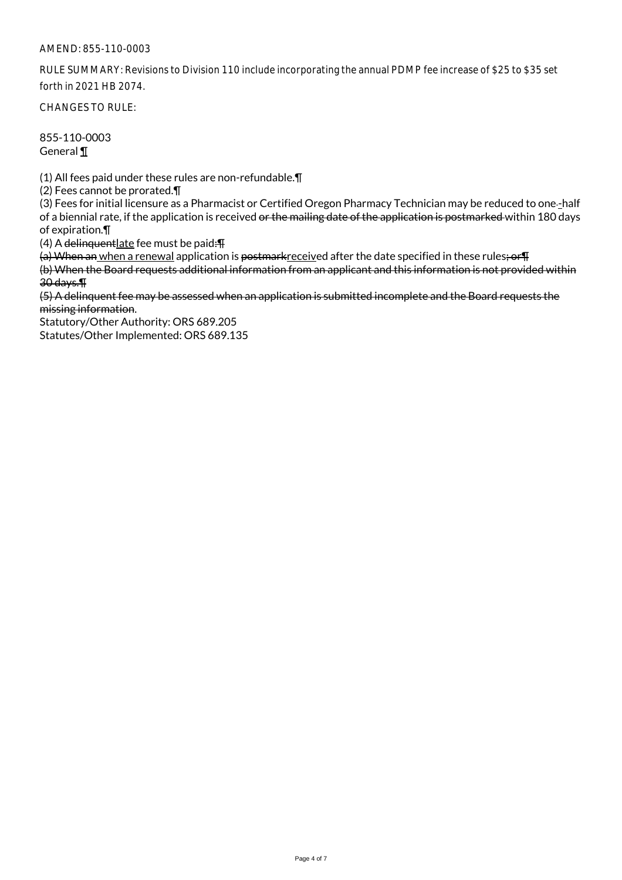RULE SUMMARY: Revisions to Division 110 include incorporating the annual PDMP fee increase of \$25 to \$35 set forth in 2021 HB 2074.

CHANGES TO RULE:

855-110-0003 General ¶

(1) All fees paid under these rules are non-refundable.¶

(2) Fees cannot be prorated.¶

(3) Fees for initial licensure as a Pharmacist or Certified Oregon Pharmacy Technician may be reduced to one-half of a biennial rate, if the application is received or the mailing date of the application is postmarked within 180 days of expiration.¶

(4) A delinquentlate fee must be paid: $\P$ 

(a) When an when a renewal application is postmarkreceived after the date specified in these rules; or T

(b) When the Board requests additional information from an applicant and this information is not provided within 30 days.¶

(5) A delinquent fee may be assessed when an application is submitted incomplete and the Board requests the missing information.

Statutory/Other Authority: ORS 689.205 Statutes/Other Implemented: ORS 689.135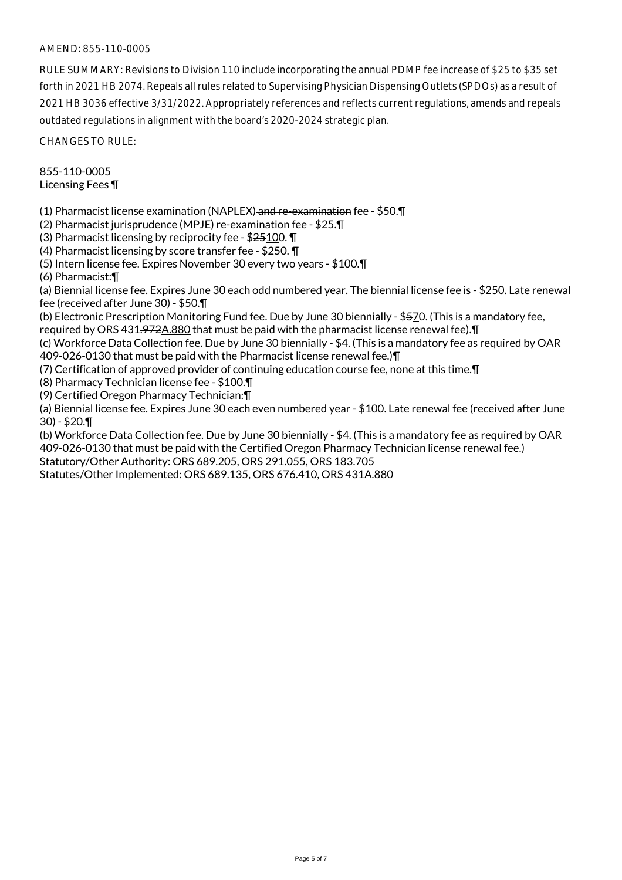RULE SUMMARY: Revisions to Division 110 include incorporating the annual PDMP fee increase of \$25 to \$35 set forth in 2021 HB 2074. Repeals all rules related to Supervising Physician Dispensing Outlets (SPDOs) as a result of 2021 HB 3036 effective 3/31/2022. Appropriately references and reflects current regulations, amends and repeals outdated regulations in alignment with the board's 2020-2024 strategic plan.

CHANGES TO RULE:

855-110-0005 Licensing Fees ¶

(1) Pharmacist license examination (NAPLEX) and re-examination fee - \$50.¶

(2) Pharmacist jurisprudence (MPJE) re-examination fee - \$25.¶

(3) Pharmacist licensing by reciprocity fee - \$25100. ¶

(4) Pharmacist licensing by score transfer fee - \$250. ¶

(5) Intern license fee. Expires November 30 every two years - \$100.¶

(6) Pharmacist:¶

(a) Biennial license fee. Expires June 30 each odd numbered year. The biennial license fee is - \$250. Late renewal fee (received after June 30) - \$50.¶

(b) Electronic Prescription Monitoring Fund fee. Due by June 30 biennially - \$570. (This is a mandatory fee, required by ORS 431.972A.880 that must be paid with the pharmacist license renewal fee).¶

(c) Workforce Data Collection fee. Due by June 30 biennially - \$4. (This is a mandatory fee as required by OAR 409-026-0130 that must be paid with the Pharmacist license renewal fee.)¶

(7) Certification of approved provider of continuing education course fee, none at this time.¶

(8) Pharmacy Technician license fee - \$100.¶

(9) Certified Oregon Pharmacy Technician:¶

(a) Biennial license fee. Expires June 30 each even numbered year - \$100. Late renewal fee (received after June  $30$ ) - \$20.¶

(b) Workforce Data Collection fee. Due by June 30 biennially - \$4. (This is a mandatory fee as required by OAR 409-026-0130 that must be paid with the Certified Oregon Pharmacy Technician license renewal fee.) Statutory/Other Authority: ORS 689.205, ORS 291.055, ORS 183.705

Statutes/Other Implemented: ORS 689.135, ORS 676.410, ORS 431A.880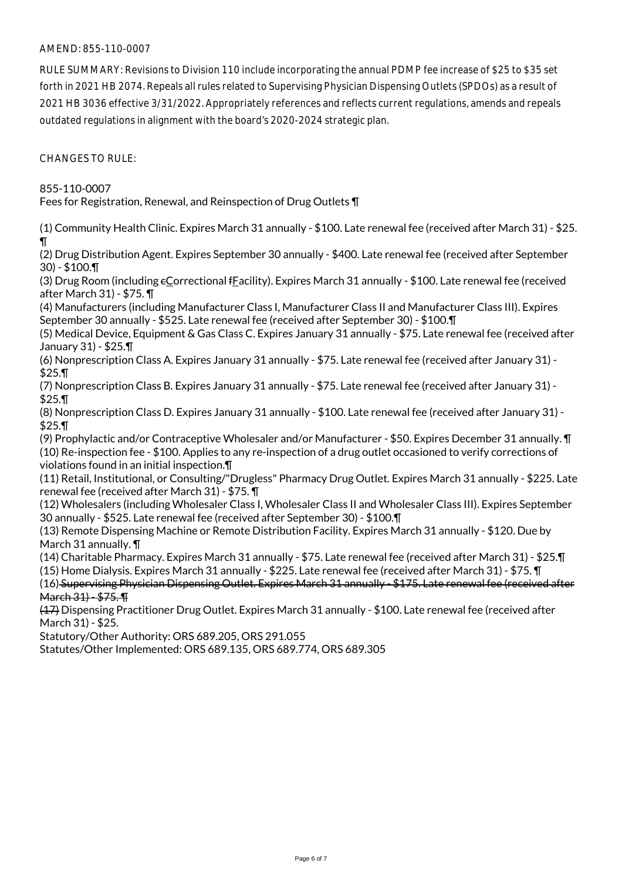RULE SUMMARY: Revisions to Division 110 include incorporating the annual PDMP fee increase of \$25 to \$35 set forth in 2021 HB 2074. Repeals all rules related to Supervising Physician Dispensing Outlets (SPDOs) as a result of 2021 HB 3036 effective 3/31/2022. Appropriately references and reflects current regulations, amends and repeals outdated regulations in alignment with the board's 2020-2024 strategic plan.

CHANGES TO RULE:

855-110-0007

Fees for Registration, Renewal, and Reinspection of Drug Outlets ¶

(1) Community Health Clinic. Expires March 31 annually - \$100. Late renewal fee (received after March 31) - \$25. ¶

(2) Drug Distribution Agent. Expires September 30 annually - \$400. Late renewal fee (received after September 30) - \$100.¶

(3) Drug Room (including cCorrectional fFacility). Expires March 31 annually - \$100. Late renewal fee (received after March 31) - \$75. ¶

(4) Manufacturers (including Manufacturer Class I, Manufacturer Class II and Manufacturer Class III). Expires September 30 annually - \$525. Late renewal fee (received after September 30) - \$100.¶

(5) Medical Device, Equipment & Gas Class C. Expires January 31 annually - \$75. Late renewal fee (received after January 31) - \$25.¶

(6) Nonprescription Class A. Expires January 31 annually - \$75. Late renewal fee (received after January 31) - \$25.¶

(7) Nonprescription Class B. Expires January 31 annually - \$75. Late renewal fee (received after January 31) - \$25.¶

(8) Nonprescription Class D. Expires January 31 annually - \$100. Late renewal fee (received after January 31) - \$25.¶

(9) Prophylactic and/or Contraceptive Wholesaler and/or Manufacturer - \$50. Expires December 31 annually. ¶

(10) Re-inspection fee - \$100. Applies to any re-inspection of a drug outlet occasioned to verify corrections of violations found in an initial inspection.¶

(11) Retail, Institutional, or Consulting/"Drugless" Pharmacy Drug Outlet. Expires March 31 annually - \$225. Late renewal fee (received after March 31) - \$75. ¶

(12) Wholesalers (including Wholesaler Class I, Wholesaler Class II and Wholesaler Class III). Expires September 30 annually - \$525. Late renewal fee (received after September 30) - \$100.¶

(13) Remote Dispensing Machine or Remote Distribution Facility. Expires March 31 annually - \$120. Due by March 31 annually. ¶

(14) Charitable Pharmacy. Expires March 31 annually - \$75. Late renewal fee (received after March 31) - \$25.¶

(15) Home Dialysis. Expires March 31 annually - \$225. Late renewal fee (received after March 31) - \$75. ¶

(16) Supervising Physician Dispensing Outlet. Expires March 31 annually - \$175. Late renewal fee (received after  $March 31 - $75.$ 

(17) Dispensing Practitioner Drug Outlet. Expires March 31 annually - \$100. Late renewal fee (received after March 31) - \$25.

Statutory/Other Authority: ORS 689.205, ORS 291.055

Statutes/Other Implemented: ORS 689.135, ORS 689.774, ORS 689.305